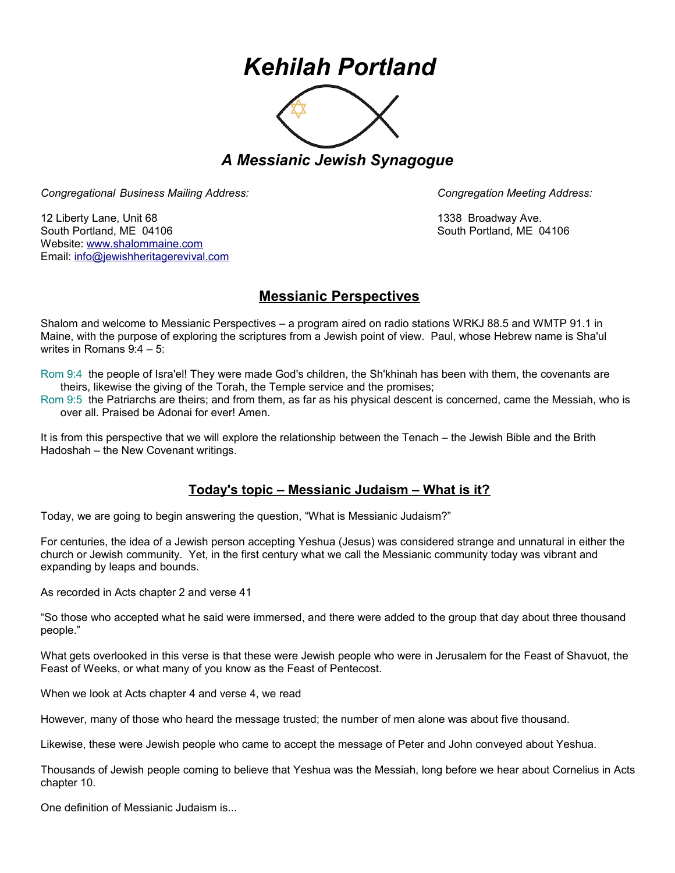## *Kehilah Portland*



*A Messianic Jewish Synagogue* 

*Congregational Business Mailing Address: Congregation Meeting Address:*

12 Liberty Lane, Unit 68 1338 Broadway Ave. South Portland, ME 04106 South Portland, ME 04106 Website: [www.shalommaine.com](http://www.shalommaine.com/) Email: [info@jewishheritagerevival.com](mailto:info@jewishheritagerevival.com) 

## **Messianic Perspectives**

Shalom and welcome to Messianic Perspectives – a program aired on radio stations WRKJ 88.5 and WMTP 91.1 in Maine, with the purpose of exploring the scriptures from a Jewish point of view. Paul, whose Hebrew name is Sha'ul writes in Romans 9:4 – 5:

Rom 9:4 the people of Isra'el! They were made God's children, the Sh'khinah has been with them, the covenants are theirs, likewise the giving of the Torah, the Temple service and the promises;

Rom 9:5 the Patriarchs are theirs; and from them, as far as his physical descent is concerned, came the Messiah, who is over all. Praised be Adonai for ever! Amen.

It is from this perspective that we will explore the relationship between the Tenach – the Jewish Bible and the Brith Hadoshah – the New Covenant writings.

## **Today's topic – Messianic Judaism – What is it?**

Today, we are going to begin answering the question, "What is Messianic Judaism?"

For centuries, the idea of a Jewish person accepting Yeshua (Jesus) was considered strange and unnatural in either the church or Jewish community. Yet, in the first century what we call the Messianic community today was vibrant and expanding by leaps and bounds.

As recorded in Acts chapter 2 and verse 41

"So those who accepted what he said were immersed, and there were added to the group that day about three thousand people."

What gets overlooked in this verse is that these were Jewish people who were in Jerusalem for the Feast of Shavuot, the Feast of Weeks, or what many of you know as the Feast of Pentecost.

When we look at Acts chapter 4 and verse 4, we read

However, many of those who heard the message trusted; the number of men alone was about five thousand.

Likewise, these were Jewish people who came to accept the message of Peter and John conveyed about Yeshua.

Thousands of Jewish people coming to believe that Yeshua was the Messiah, long before we hear about Cornelius in Acts chapter 10.

One definition of Messianic Judaism is...